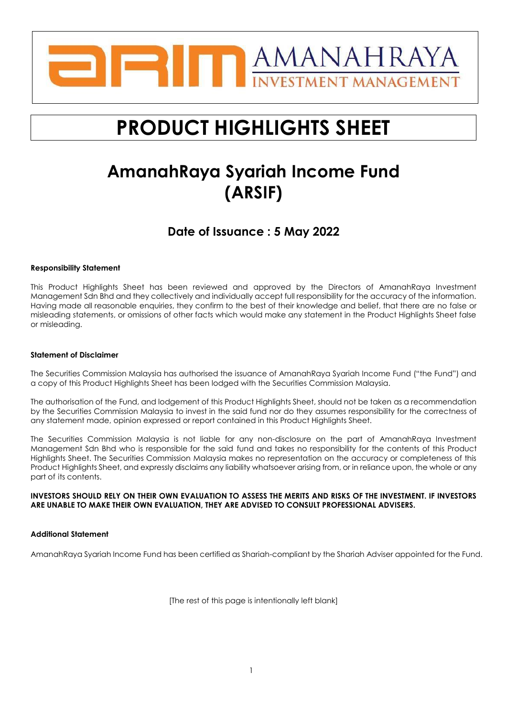

# **PRODUCT HIGHLIGHTS SHEET**

## **AmanahRaya Syariah Income Fund (ARSIF)**

## **Date of Issuance : 5 May 2022**

## **Responsibility Statement**

This Product Highlights Sheet has been reviewed and approved by the Directors of AmanahRaya Investment Management Sdn Bhd and they collectively and individually accept full responsibility for the accuracy of the information. Having made all reasonable enquiries, they confirm to the best of their knowledge and belief, that there are no false or misleading statements, or omissions of other facts which would make any statement in the Product Highlights Sheet false or misleading.

## **Statement of Disclaimer**

The Securities Commission Malaysia has authorised the issuance of AmanahRaya Syariah Income Fund ("the Fund") and a copy of this Product Highlights Sheet has been lodged with the Securities Commission Malaysia.

The authorisation of the Fund, and lodgement of this Product Highlights Sheet, should not be taken as a recommendation by the Securities Commission Malaysia to invest in the said fund nor do they assumes responsibility for the correctness of any statement made, opinion expressed or report contained in this Product Highlights Sheet.

The Securities Commission Malaysia is not liable for any non-disclosure on the part of AmanahRaya Investment Management Sdn Bhd who is responsible for the said fund and takes no responsibility for the contents of this Product Highlights Sheet. The Securities Commission Malaysia makes no representation on the accuracy or completeness of this Product Highlights Sheet, and expressly disclaims any liability whatsoever arising from, or in reliance upon, the whole or any part of its contents.

#### **INVESTORS SHOULD RELY ON THEIR OWN EVALUATION TO ASSESS THE MERITS AND RISKS OF THE INVESTMENT. IF INVESTORS ARE UNABLE TO MAKE THEIR OWN EVALUATION, THEY ARE ADVISED TO CONSULT PROFESSIONAL ADVISERS.**

## **Additional Statement**

AmanahRaya Syariah Income Fund has been certified as Shariah-compliant by the Shariah Adviser appointed for the Fund.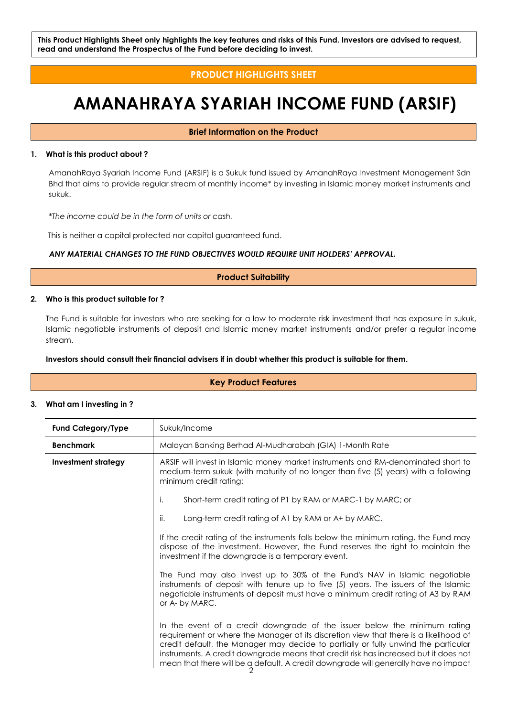## **PRODUCT HIGHLIGHTS SHEET**

## **AMANAHRAYA SYARIAH INCOME FUND (ARSIF)**

## **Brief Information on the Product**

#### **1. What is this product about ?**

AmanahRaya Syariah Income Fund (ARSIF) is a Sukuk fund issued by AmanahRaya Investment Management Sdn Bhd that aims to provide regular stream of monthly income\* by investing in Islamic money market instruments and sukuk.

*\*The income could be in the form of units or cash.*

This is neither a capital protected nor capital guaranteed fund.

## *ANY MATERIAL CHANGES TO THE FUND OBJECTIVES WOULD REQUIRE UNIT HOLDERS' APPROVAL.*

## **Product Suitability**

#### **2. Who is this product suitable for ?**

The Fund is suitable for investors who are seeking for a low to moderate risk investment that has exposure in sukuk, Islamic negotiable instruments of deposit and Islamic money market instruments and/or prefer a regular income stream.

### **Investors should consult their financial advisers if in doubt whether this product is suitable for them.**

## **Key Product Features**

## **3. What am I investing in ?**

| <b>Fund Category/Type</b>  | Sukuk/Income                                                                                                                                                                                                                                                                                                                                                                                                                            |  |  |  |
|----------------------------|-----------------------------------------------------------------------------------------------------------------------------------------------------------------------------------------------------------------------------------------------------------------------------------------------------------------------------------------------------------------------------------------------------------------------------------------|--|--|--|
| <b>Benchmark</b>           | Malayan Banking Berhad Al-Mudharabah (GIA) 1-Month Rate                                                                                                                                                                                                                                                                                                                                                                                 |  |  |  |
| <b>Investment strategy</b> | ARSIF will invest in Islamic money market instruments and RM-denominated short to<br>medium-term sukuk (with maturity of no longer than five (5) years) with a following<br>minimum credit rating:                                                                                                                                                                                                                                      |  |  |  |
|                            | Short-term credit rating of P1 by RAM or MARC-1 by MARC; or<br>i.                                                                                                                                                                                                                                                                                                                                                                       |  |  |  |
|                            | ii.<br>Long-term credit rating of A1 by RAM or A+ by MARC.                                                                                                                                                                                                                                                                                                                                                                              |  |  |  |
|                            | If the credit rating of the instruments falls below the minimum rating, the Fund may<br>dispose of the investment. However, the Fund reserves the right to maintain the<br>investment if the downgrade is a temporary event.                                                                                                                                                                                                            |  |  |  |
|                            | The Fund may also invest up to 30% of the Fund's NAV in Islamic negotiable<br>instruments of deposit with tenure up to five (5) years. The issuers of the Islamic<br>negotiable instruments of deposit must have a minimum credit rating of A3 by RAM<br>or A- by MARC.                                                                                                                                                                 |  |  |  |
|                            | In the event of a credit downgrade of the issuer below the minimum rating<br>requirement or where the Manager at its discretion view that there is a likelihood of<br>credit default, the Manager may decide to partially or fully unwind the particular<br>instruments. A credit downgrade means that credit risk has increased but it does not<br>mean that there will be a default. A credit downgrade will generally have no impact |  |  |  |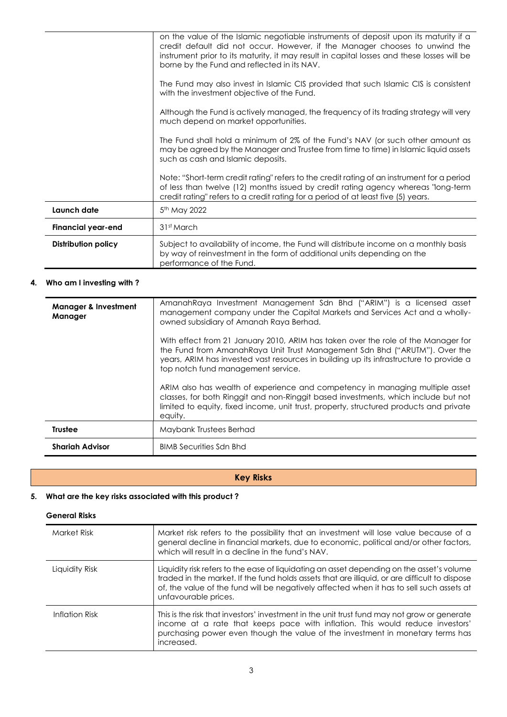|                            | on the value of the Islamic negotiable instruments of deposit upon its maturity if a<br>credit default did not occur. However, if the Manager chooses to unwind the<br>instrument prior to its maturity, it may result in capital losses and these losses will be<br>borne by the Fund and reflected in its NAV. |  |
|----------------------------|------------------------------------------------------------------------------------------------------------------------------------------------------------------------------------------------------------------------------------------------------------------------------------------------------------------|--|
|                            | The Fund may also invest in Islamic CIS provided that such Islamic CIS is consistent<br>with the investment objective of the Fund.                                                                                                                                                                               |  |
|                            | Although the Fund is actively managed, the frequency of its trading strategy will very<br>much depend on market opportunities.                                                                                                                                                                                   |  |
|                            | The Fund shall hold a minimum of 2% of the Fund's NAV (or such other amount as<br>may be agreed by the Manager and Trustee from time to time) in Islamic liquid assets<br>such as cash and Islamic deposits.                                                                                                     |  |
|                            | Note: "Short-term credit rating" refers to the credit rating of an instrument for a period<br>of less than twelve (12) months issued by credit rating agency whereas "long-term<br>credit rating" refers to a credit rating for a period of at least five (5) years.                                             |  |
| Launch date                | 5 <sup>th</sup> May 2022                                                                                                                                                                                                                                                                                         |  |
| <b>Financial year-end</b>  | 31st March                                                                                                                                                                                                                                                                                                       |  |
| <b>Distribution policy</b> | Subject to availability of income, the Fund will distribute income on a monthly basis<br>by way of reinvestment in the form of additional units depending on the<br>performance of the Fund.                                                                                                                     |  |

## **4. Who am I investing with ?**

| <b>Manager &amp; Investment</b><br>Manager | AmanahRaya Investment Management Sdn Bhd ("ARIM") is a licensed asset<br>management company under the Capital Markets and Services Act and a wholly-<br>owned subsidiary of Amanah Raya Berhad.                                                                                                 |
|--------------------------------------------|-------------------------------------------------------------------------------------------------------------------------------------------------------------------------------------------------------------------------------------------------------------------------------------------------|
|                                            | With effect from 21 January 2010, ARIM has taken over the role of the Manager for<br>the Fund from AmanahRaya Unit Trust Management Sdn Bhd ("ARUTM"). Over the<br>years, ARIM has invested vast resources in building up its infrastructure to provide a<br>top notch fund management service. |
|                                            | ARIM also has wealth of experience and competency in managing multiple asset<br>classes, for both Ringgit and non-Ringgit based investments, which include but not<br>limited to equity, fixed income, unit trust, property, structured products and private<br>equity.                         |
| <b>Trustee</b>                             | Maybank Trustees Berhad                                                                                                                                                                                                                                                                         |
| <b>Shariah Advisor</b>                     | <b>BIMB Securities Sdn Bhd</b>                                                                                                                                                                                                                                                                  |

## **Key Risks**

## **5. What are the key risks associated with this product ?**

## **General Risks**

| Market Risk    | Market risk refers to the possibility that an investment will lose value because of a<br>general decline in financial markets, due to economic, political and/or other factors,<br>which will result in a decline in the fund's NAV.                                                                           |
|----------------|----------------------------------------------------------------------------------------------------------------------------------------------------------------------------------------------------------------------------------------------------------------------------------------------------------------|
| Liquidity Risk | Liquidity risk refers to the ease of liquidating an asset depending on the asset's volume<br>traded in the market. If the fund holds assets that are illiquid, or are difficult to dispose<br>of, the value of the fund will be negatively affected when it has to sell such assets at<br>unfavourable prices. |
| Inflation Risk | This is the risk that investors' investment in the unit trust fund may not grow or generate<br>income at a rate that keeps pace with inflation. This would reduce investors'<br>purchasing power even though the value of the investment in monetary terms has<br>increased.                                   |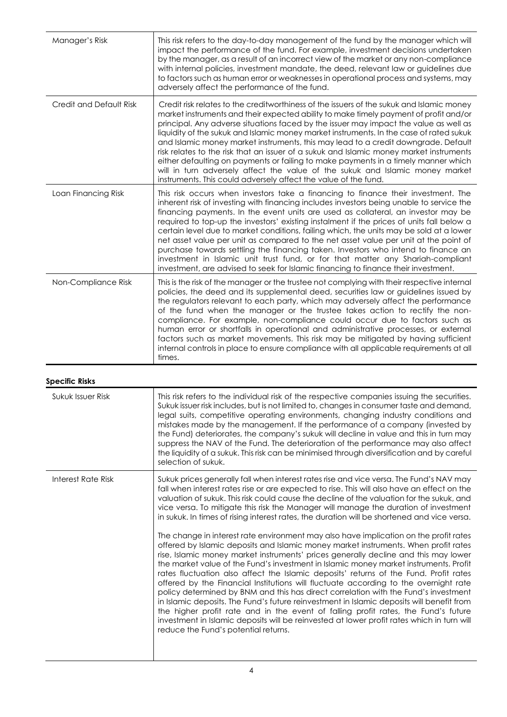| Manager's Risk          | This risk refers to the day-to-day management of the fund by the manager which will<br>impact the performance of the fund. For example, investment decisions undertaken<br>by the manager, as a result of an incorrect view of the market or any non-compliance<br>with internal policies, investment mandate, the deed, relevant law or guidelines due<br>to factors such as human error or weaknesses in operational process and systems, may<br>adversely affect the performance of the fund.                                                                                                                                                                                                                                                                                                                 |
|-------------------------|------------------------------------------------------------------------------------------------------------------------------------------------------------------------------------------------------------------------------------------------------------------------------------------------------------------------------------------------------------------------------------------------------------------------------------------------------------------------------------------------------------------------------------------------------------------------------------------------------------------------------------------------------------------------------------------------------------------------------------------------------------------------------------------------------------------|
| Credit and Default Risk | Credit risk relates to the creditworthiness of the issuers of the sukuk and Islamic money<br>market instruments and their expected ability to make timely payment of profit and/or<br>principal. Any adverse situations faced by the issuer may impact the value as well as<br>liquidity of the sukuk and Islamic money market instruments. In the case of rated sukuk<br>and Islamic money market instruments, this may lead to a credit downgrade. Default<br>risk relates to the risk that an issuer of a sukuk and Islamic money market instruments<br>either defaulting on payments or failing to make payments in a timely manner which<br>will in turn adversely affect the value of the sukuk and Islamic money market<br>instruments. This could adversely affect the value of the fund.                |
| Loan Financing Risk     | This risk occurs when investors take a financing to finance their investment. The<br>inherent risk of investing with financing includes investors being unable to service the<br>financing payments. In the event units are used as collateral, an investor may be<br>required to top-up the investors' existing instalment if the prices of units fall below a<br>certain level due to market conditions, failing which, the units may be sold at a lower<br>net asset value per unit as compared to the net asset value per unit at the point of<br>purchase towards settling the financing taken. Investors who intend to finance an<br>investment in Islamic unit trust fund, or for that matter any Shariah-compliant<br>investment, are advised to seek for Islamic financing to finance their investment. |
| Non-Compliance Risk     | This is the risk of the manager or the trustee not complying with their respective internal<br>policies, the deed and its supplemental deed, securities law or guidelines issued by<br>the regulators relevant to each party, which may adversely affect the performance<br>of the fund when the manager or the trustee takes action to rectify the non-<br>compliance. For example, non-compliance could occur due to factors such as<br>human error or shortfalls in operational and administrative processes, or external<br>factors such as market movements. This risk may be mitigated by having sufficient<br>internal controls in place to ensure compliance with all applicable requirements at all<br>times.                                                                                           |

## **Specific Risks**

| Sukuk Issuer Risk  | This risk refers to the individual risk of the respective companies issuing the securities.<br>Sukuk issuer risk includes, but is not limited to, changes in consumer taste and demand,<br>legal suits, competitive operating environments, changing industry conditions and<br>mistakes made by the management. If the performance of a company (invested by<br>the Fund) deteriorates, the company's sukuk will decline in value and this in turn may<br>suppress the NAV of the Fund. The deterioration of the performance may also affect<br>the liquidity of a sukuk. This risk can be minimised through diversification and by careful<br>selection of sukuk.                                                                                                                                                                                                                                                                                                                                                                                                                                                                                                                                                                                                                                                                                                                                                                         |
|--------------------|---------------------------------------------------------------------------------------------------------------------------------------------------------------------------------------------------------------------------------------------------------------------------------------------------------------------------------------------------------------------------------------------------------------------------------------------------------------------------------------------------------------------------------------------------------------------------------------------------------------------------------------------------------------------------------------------------------------------------------------------------------------------------------------------------------------------------------------------------------------------------------------------------------------------------------------------------------------------------------------------------------------------------------------------------------------------------------------------------------------------------------------------------------------------------------------------------------------------------------------------------------------------------------------------------------------------------------------------------------------------------------------------------------------------------------------------|
| Interest Rate Risk | Sukuk prices generally fall when interest rates rise and vice versa. The Fund's NAV may<br>fall when interest rates rise or are expected to rise. This will also have an effect on the<br>valuation of sukuk. This risk could cause the decline of the valuation for the sukuk, and<br>vice versa. To mitigate this risk the Manager will manage the duration of investment<br>in sukuk. In times of rising interest rates, the duration will be shortened and vice versa.<br>The change in interest rate environment may also have implication on the profit rates<br>offered by Islamic deposits and Islamic money market instruments. When profit rates<br>rise, Islamic money market instruments' prices generally decline and this may lower<br>the market value of the Fund's investment in Islamic money market instruments. Profit<br>rates fluctuation also affect the Islamic deposits' returns of the Fund. Profit rates<br>offered by the Financial Institutions will fluctuate according to the overnight rate<br>policy determined by BNM and this has direct correlation with the Fund's investment<br>in Islamic deposits. The Fund's future reinvestment in Islamic deposits will benefit from<br>the higher profit rate and in the event of falling profit rates, the Fund's future<br>investment in Islamic deposits will be reinvested at lower profit rates which in turn will<br>reduce the Fund's potential returns. |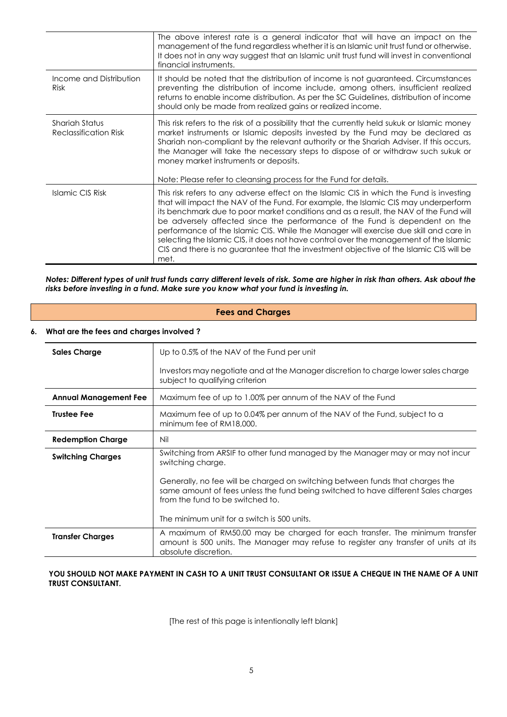|                                                       | The above interest rate is a general indicator that will have an impact on the<br>management of the fund regardless whether it is an Islamic unit trust fund or otherwise.<br>It does not in any way suggest that an Islamic unit trust fund will invest in conventional<br>financial instruments.                                                                                                                                                                                                                                                                                                                                           |
|-------------------------------------------------------|----------------------------------------------------------------------------------------------------------------------------------------------------------------------------------------------------------------------------------------------------------------------------------------------------------------------------------------------------------------------------------------------------------------------------------------------------------------------------------------------------------------------------------------------------------------------------------------------------------------------------------------------|
| Income and Distribution<br><b>Risk</b>                | It should be noted that the distribution of income is not guaranteed. Circumstances<br>preventing the distribution of income include, among others, insufficient realized<br>returns to enable income distribution. As per the SC Guidelines, distribution of income<br>should only be made from realized gains or realized income.                                                                                                                                                                                                                                                                                                          |
| <b>Shariah Status</b><br><b>Reclassification Risk</b> | This risk refers to the risk of a possibility that the currently held sukuk or Islamic money<br>market instruments or Islamic deposits invested by the Fund may be declared as<br>Shariah non-compliant by the relevant authority or the Shariah Adviser. If this occurs,<br>the Manager will take the necessary steps to dispose of or withdraw such sukuk or<br>money market instruments or deposits.<br>Note: Please refer to cleansing process for the Fund for details.                                                                                                                                                                 |
| Islamic CIS Risk                                      | This risk refers to any adverse effect on the Islamic CIS in which the Fund is investing<br>that will impact the NAV of the Fund. For example, the Islamic CIS may underperform<br>its benchmark due to poor market conditions and as a result, the NAV of the Fund will<br>be adversely affected since the performance of the Fund is dependent on the<br>performance of the Islamic CIS. While the Manager will exercise due skill and care in<br>selecting the Islamic CIS, it does not have control over the management of the Islamic<br>CIS and there is no guarantee that the investment objective of the Islamic CIS will be<br>met. |

*Notes: Different types of unit trust funds carry different levels of risk. Some are higher in risk than others. Ask about the risks before investing in a fund. Make sure you know what your fund is investing in.*

|                    | <b>Fees and Charges</b>                 |                                                                                                                                                                                                         |  |  |  |
|--------------------|-----------------------------------------|---------------------------------------------------------------------------------------------------------------------------------------------------------------------------------------------------------|--|--|--|
| 6.                 | What are the fees and charges involved? |                                                                                                                                                                                                         |  |  |  |
|                    | <b>Sales Charge</b>                     | Up to 0.5% of the NAV of the Fund per unit                                                                                                                                                              |  |  |  |
|                    |                                         | Investors may negotiate and at the Manager discretion to charge lower sales charge<br>subject to qualifying criterion                                                                                   |  |  |  |
|                    | <b>Annual Management Fee</b>            | Maximum fee of up to 1.00% per annum of the NAV of the Fund                                                                                                                                             |  |  |  |
| <b>Trustee Fee</b> |                                         | Maximum fee of up to 0.04% per annum of the NAV of the Fund, subject to a<br>minimum fee of RM18,000.                                                                                                   |  |  |  |
|                    | <b>Redemption Charge</b>                | Nil                                                                                                                                                                                                     |  |  |  |
|                    | <b>Switching Charges</b>                | Switching from ARSIF to other fund managed by the Manager may or may not incur<br>switching charge.                                                                                                     |  |  |  |
|                    |                                         | Generally, no fee will be charged on switching between funds that charges the<br>same amount of fees unless the fund being switched to have different Sales charges<br>from the fund to be switched to. |  |  |  |
|                    |                                         | The minimum unit for a switch is 500 units.                                                                                                                                                             |  |  |  |
|                    | <b>Transfer Charges</b>                 | A maximum of RM50.00 may be charged for each transfer. The minimum transfer<br>amount is 500 units. The Manager may refuse to register any transfer of units at its<br>absolute discretion.             |  |  |  |

## YOU SHOULD NOT MAKE PAYMENT IN CASH TO A UNIT TRUST CONSULTANT OR ISSUE A CHEQUE IN THE NAME OF A UNIT **TRUST CONSULTANT.**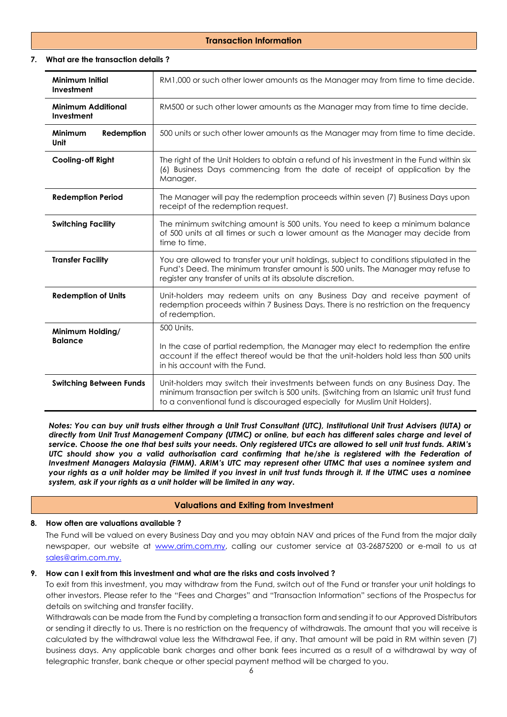## **Transaction Information**

## **7. What are the transaction details ?**

| <b>Minimum Initial</b><br>Investment        | RM1,000 or such other lower amounts as the Manager may from time to time decide.                                                                                                                                                                          |  |  |  |
|---------------------------------------------|-----------------------------------------------------------------------------------------------------------------------------------------------------------------------------------------------------------------------------------------------------------|--|--|--|
| <b>Minimum Additional</b><br>Investment     | RM500 or such other lower amounts as the Manager may from time to time decide.                                                                                                                                                                            |  |  |  |
| <b>Minimum</b><br>Redemption<br><b>Unit</b> | 500 units or such other lower amounts as the Manager may from time to time decide.                                                                                                                                                                        |  |  |  |
| <b>Cooling-off Right</b>                    | The right of the Unit Holders to obtain a refund of his investment in the Fund within six<br>(6) Business Days commencing from the date of receipt of application by the<br>Manager.                                                                      |  |  |  |
| <b>Redemption Period</b>                    | The Manager will pay the redemption proceeds within seven (7) Business Days upon<br>receipt of the redemption request.                                                                                                                                    |  |  |  |
| <b>Switching Facility</b>                   | The minimum switching amount is 500 units. You need to keep a minimum balance<br>of 500 units at all times or such a lower amount as the Manager may decide from<br>time to time.                                                                         |  |  |  |
| <b>Transfer Facility</b>                    | You are allowed to transfer your unit holdings, subject to conditions stipulated in the<br>Fund's Deed. The minimum transfer amount is 500 units. The Manager may refuse to<br>register any transfer of units at its absolute discretion.                 |  |  |  |
| <b>Redemption of Units</b>                  | Unit-holders may redeem units on any Business Day and receive payment of<br>redemption proceeds within 7 Business Days. There is no restriction on the frequency<br>of redemption.                                                                        |  |  |  |
| Minimum Holding/                            | 500 Units.                                                                                                                                                                                                                                                |  |  |  |
| <b>Balance</b>                              | In the case of partial redemption, the Manager may elect to redemption the entire<br>account if the effect thereof would be that the unit-holders hold less than 500 units<br>in his account with the Fund.                                               |  |  |  |
| <b>Switching Between Funds</b>              | Unit-holders may switch their investments between funds on any Business Day. The<br>minimum transaction per switch is 500 units. (Switching from an Islamic unit trust fund<br>to a conventional fund is discouraged especially for Muslim Unit Holders). |  |  |  |

*Notes: You can buy unit trusts either through a Unit Trust Consultant (UTC), Institutional Unit Trust Advisers (IUTA) or directly from Unit Trust Management Company (UTMC) or online, but each has different sales charge and level of service. Choose the one that best suits your needs. Only registered UTCs are allowed to sell unit trust funds. ARIM's UTC should show you a valid authorisation card confirming that he/she is registered with the Federation of Investment Managers Malaysia (FIMM). ARIM's UTC may represent other UTMC that uses a nominee system and your rights as a unit holder may be limited if you invest in unit trust funds through it. If the UTMC uses a nominee system, ask if your rights as a unit holder will be limited in any way.*

## **Valuations and Exiting from Investment**

## **8. How often are valuations available ?**

The Fund will be valued on every Business Day and you may obtain NAV and prices of the Fund from the major daily newspaper, our website at [www.arim.com.my,](http://www.arim.com.my/) calling our customer service at 03-26875200 or e-mail to us at [sales@arim.com.my.](mailto:sales@arim.com.my.)

## **9. How can I exit from this investment and what are the risks and costs involved ?**

To exit from this investment, you may withdraw from the Fund, switch out of the Fund or transfer your unit holdings to other investors. Please refer to the "Fees and Charges" and "Transaction Information" sections of the Prospectus for details on switching and transfer facility.

Withdrawals can be made from the Fund by completing a transaction form and sending it to our Approved Distributors or sending it directly to us. There is no restriction on the frequency of withdrawals. The amount that you will receive is calculated by the withdrawal value less the Withdrawal Fee, if any. That amount will be paid in RM within seven (7) business days. Any applicable bank charges and other bank fees incurred as a result of a withdrawal by way of telegraphic transfer, bank cheque or other special payment method will be charged to you.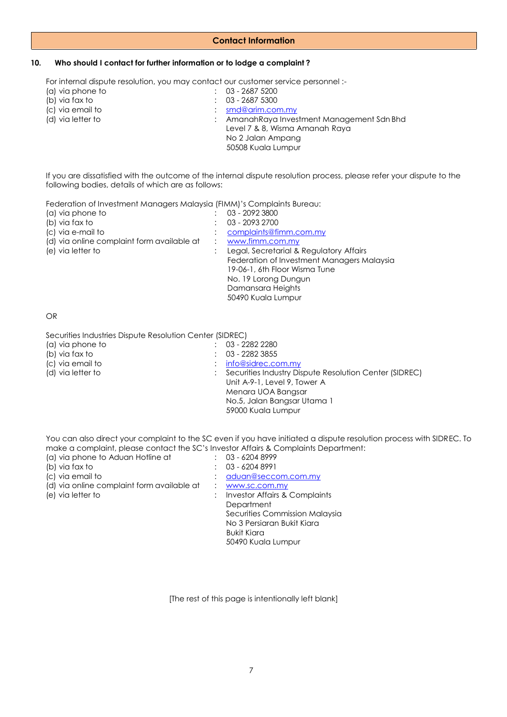## **Contact Information**

## **10. Who should I contact for further information or to lodge a complaint ?**

For internal dispute resolution, you may contact our customer service personnel :-

| $: 03 - 26875200$                           |
|---------------------------------------------|
| $: 03 - 26875300$                           |
| $:$ smd@arim.com.my                         |
| : Amanah Raya Investment Management Sdn Bhd |
| Level 7 & 8, Wisma Amanah Raya              |
| No 2 Jalan Ampang                           |
| 50508 Kuala Lumpur                          |
|                                             |

If you are dissatisfied with the outcome of the internal dispute resolution process, please refer your dispute to the following bodies, details of which are as follows:

Federation of Investment Managers Malaysia (FIMM)'s Complaints Bureau:

| 03 - 2092 3800                             |
|--------------------------------------------|
| 03 - 2093 2700                             |
| complaints@fimm.com.my                     |
| www.fimm.com.my                            |
| Legal, Secretarial & Regulatory Affairs    |
| Federation of Investment Managers Malaysia |
| 19-06-1, 6th Floor Wisma Tune              |
| No. 19 Lorong Dungun                       |
| Damansara Heights                          |
| 50490 Kuala Lumpur                         |
|                                            |

#### OR

Securities Industries Dispute Resolution Center (SIDREC)

| (a) via phone to  | $: 03 - 22822280$                                        |
|-------------------|----------------------------------------------------------|
|                   |                                                          |
| (b) via fax to    | $\therefore$ 03 - 2282 3855                              |
| (c) via email to  | $:$ info@sidrec.com.my                                   |
| (d) via letter to | : Securities Industry Dispute Resolution Center (SIDREC) |
|                   | Unit A-9-1, Level 9, Tower A                             |
|                   | Menara UOA Bangsar                                       |
|                   | No.5, Jalan Bangsar Utama 1                              |
|                   | 59000 Kuala Lumpur                                       |
|                   |                                                          |

You can also direct your complaint to the SC even if you have initiated a dispute resolution process with SIDREC. To make a complaint, please contact the SC's Investor Affairs & Complaints Department:

| (a) via phone to Aduan Hotline at          | 03 - 6204 8999                 |
|--------------------------------------------|--------------------------------|
| (b) via fax to                             | 03 - 6204 8991                 |
| (c) via email to                           | aduan@seccom.com.my            |
| (d) via online complaint form available at | www.sc.com.my                  |
| (e) via letter to                          | Investor Affairs & Complaints  |
|                                            | Department                     |
|                                            | Securities Commission Malaysia |
|                                            | No 3 Persiaran Bukit Kiara     |
|                                            | <b>Bukit Kiara</b>             |
|                                            | 50490 Kuala Lumpur             |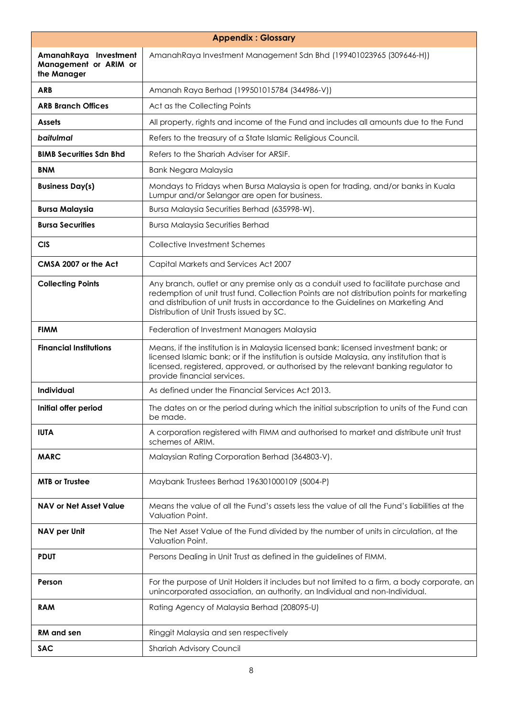| <b>Appendix: Glossary</b>                                     |                                                                                                                                                                                                                                                                                                                    |  |
|---------------------------------------------------------------|--------------------------------------------------------------------------------------------------------------------------------------------------------------------------------------------------------------------------------------------------------------------------------------------------------------------|--|
| AmanahRaya Investment<br>Management or ARIM or<br>the Manager | AmanahRaya Investment Management Sdn Bhd (199401023965 (309646-H))                                                                                                                                                                                                                                                 |  |
| <b>ARB</b>                                                    | Amanah Raya Berhad (199501015784 (344986-V))                                                                                                                                                                                                                                                                       |  |
| <b>ARB Branch Offices</b>                                     | Act as the Collecting Points                                                                                                                                                                                                                                                                                       |  |
| <b>Assets</b>                                                 | All property, rights and income of the Fund and includes all amounts due to the Fund                                                                                                                                                                                                                               |  |
| baitulmal                                                     | Refers to the treasury of a State Islamic Religious Council.                                                                                                                                                                                                                                                       |  |
| <b>BIMB Securities Sdn Bhd</b>                                | Refers to the Shariah Adviser for ARSIF.                                                                                                                                                                                                                                                                           |  |
| <b>BNM</b>                                                    | <b>Bank Negara Malaysia</b>                                                                                                                                                                                                                                                                                        |  |
| <b>Business Day(s)</b>                                        | Mondays to Fridays when Bursa Malaysia is open for trading, and/or banks in Kuala<br>Lumpur and/or Selangor are open for business.                                                                                                                                                                                 |  |
| <b>Bursa Malaysia</b>                                         | Bursa Malaysia Securities Berhad (635998-W).                                                                                                                                                                                                                                                                       |  |
| <b>Bursa Securities</b>                                       | <b>Bursa Malaysia Securities Berhad</b>                                                                                                                                                                                                                                                                            |  |
| <b>CIS</b>                                                    | Collective Investment Schemes                                                                                                                                                                                                                                                                                      |  |
| CMSA 2007 or the Act                                          | Capital Markets and Services Act 2007                                                                                                                                                                                                                                                                              |  |
| <b>Collecting Points</b>                                      | Any branch, outlet or any premise only as a conduit used to facilitate purchase and<br>redemption of unit trust fund. Collection Points are not distribution points for marketing<br>and distribution of unit trusts in accordance to the Guidelines on Marketing And<br>Distribution of Unit Trusts issued by SC. |  |
| <b>FIMM</b>                                                   | Federation of Investment Managers Malaysia                                                                                                                                                                                                                                                                         |  |
| <b>Financial Institutions</b>                                 | Means, if the institution is in Malaysia licensed bank; licensed investment bank; or<br>licensed Islamic bank; or if the institution is outside Malaysia, any institution that is<br>licensed, registered, approved, or authorised by the relevant banking regulator to<br>provide financial services.             |  |
| Individual                                                    | As defined under the Financial Services Act 2013.                                                                                                                                                                                                                                                                  |  |
| Initial offer period                                          | The dates on or the period during which the initial subscription to units of the Fund can<br>be made.                                                                                                                                                                                                              |  |
| <b>IUTA</b>                                                   | A corporation registered with FIMM and authorised to market and distribute unit trust<br>schemes of ARIM.                                                                                                                                                                                                          |  |
| <b>MARC</b>                                                   | Malaysian Rating Corporation Berhad (364803-V).                                                                                                                                                                                                                                                                    |  |
| <b>MTB or Trustee</b>                                         | Maybank Trustees Berhad 196301000109 (5004-P)                                                                                                                                                                                                                                                                      |  |
| <b>NAV or Net Asset Value</b>                                 | Means the value of all the Fund's assets less the value of all the Fund's liabilities at the<br>Valuation Point.                                                                                                                                                                                                   |  |
| NAV per Unit                                                  | The Net Asset Value of the Fund divided by the number of units in circulation, at the<br>Valuation Point.                                                                                                                                                                                                          |  |
| <b>PDUT</b>                                                   | Persons Dealing in Unit Trust as defined in the guidelines of FIMM.                                                                                                                                                                                                                                                |  |
| Person                                                        | For the purpose of Unit Holders it includes but not limited to a firm, a body corporate, an<br>unincorporated association, an authority, an Individual and non-Individual.                                                                                                                                         |  |
| <b>RAM</b>                                                    | Rating Agency of Malaysia Berhad (208095-U)                                                                                                                                                                                                                                                                        |  |
| <b>RM</b> and sen                                             | Ringgit Malaysia and sen respectively                                                                                                                                                                                                                                                                              |  |
| <b>SAC</b>                                                    | Shariah Advisory Council                                                                                                                                                                                                                                                                                           |  |